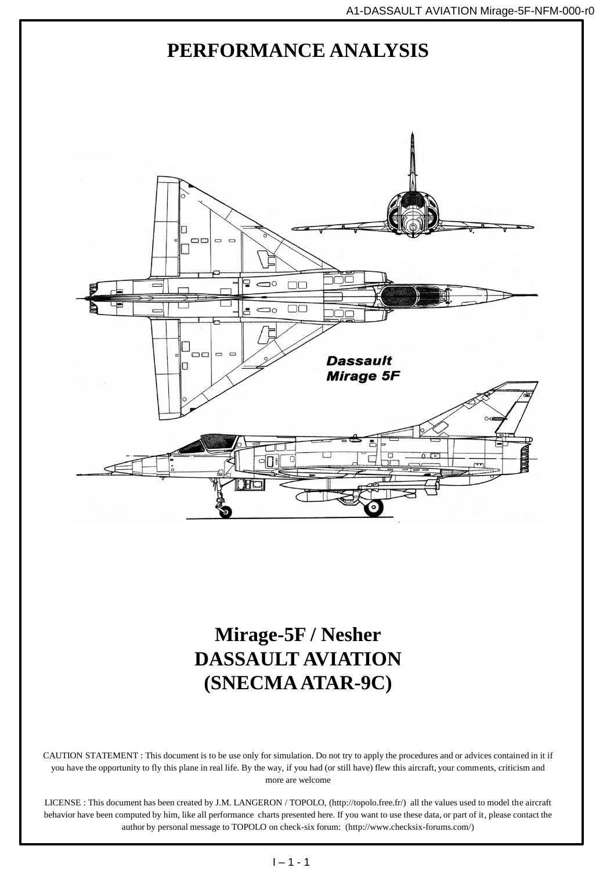

## **Mirage-5F / Nesher DASSAULT AVIATION (SNECMA ATAR-9C)**

CAUTION STATEMENT : This document is to be use only for simulation. Do not try to apply the procedures and or advices contained in it if you have the opportunity to fly this plane in real life. By the way, if you had (or still have) flew this aircraft, your comments, criticism and more are welcome

LICENSE : This document has been created by J.M. LANGERON / TOPOLO, (http://topolo.free.fr/) all the values used to model the aircraft behavior have been computed by him, like all performance charts presented here. If you want to use these data, or part of it, please contact the author by personal message to TOPOLO on check-six forum: (http://www.checksix-forums.com/)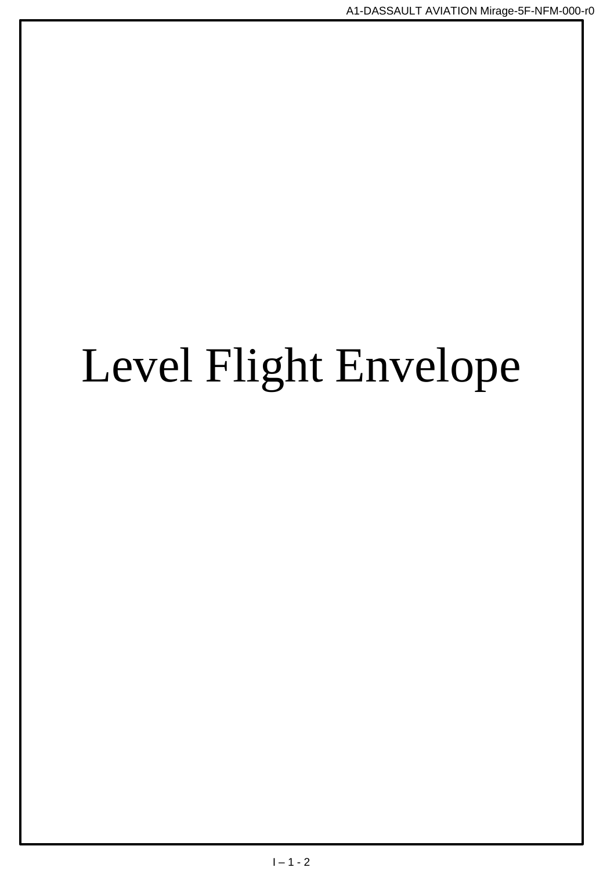# Level Flight Envelope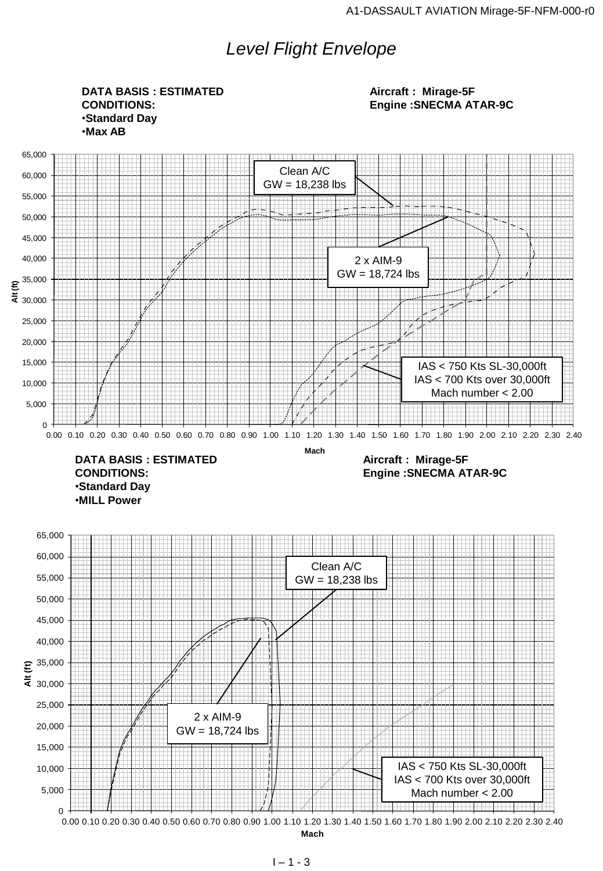## *Level Flight Envelope*

**DATA BASIS : ESTIMATED CONDITIONS:** •**Standard Day** •**Max AB**

**Aircraft : Mirage-5F Engine :SNECMA ATAR-9C**

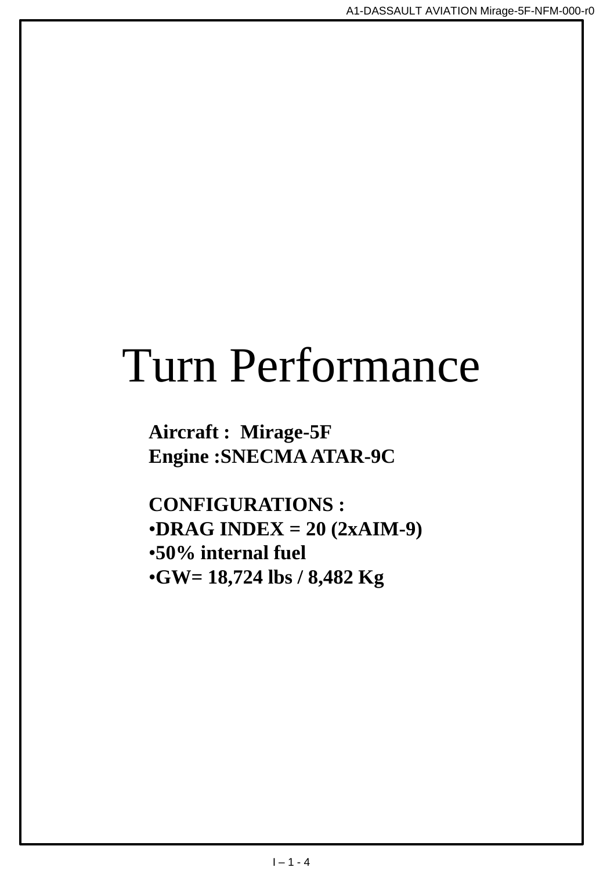## Turn Performance

**Aircraft : Mirage-5F Engine :SNECMA ATAR-9C**

**CONFIGURATIONS :** •**DRAG INDEX = 20 (2xAIM-9)** •**50% internal fuel** •**GW= 18,724 lbs / 8,482 Kg**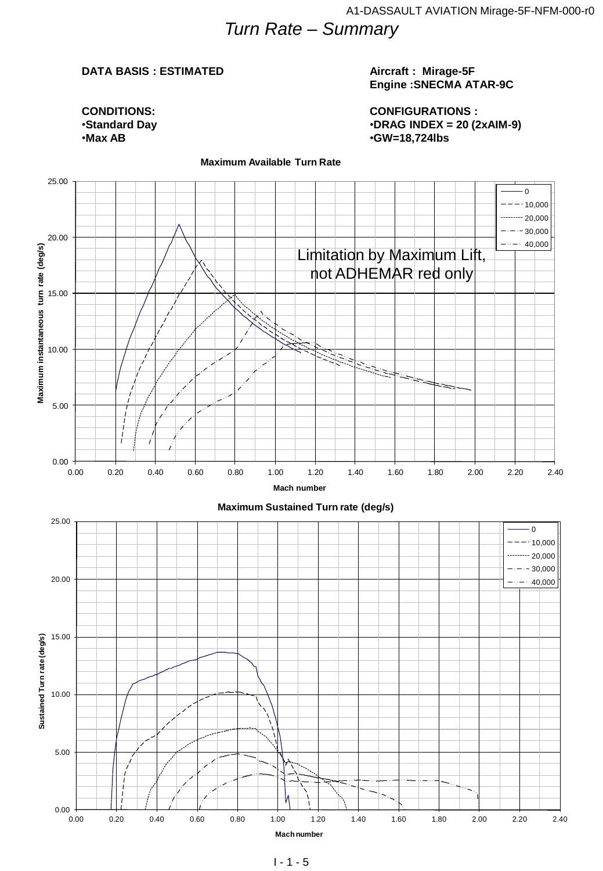## *Turn Rate – Summary*

#### **DATA BASIS : ESTIMATED**

#### **Aircraft : Mirage-5F Engine :SNECMA ATAR-9C**

**CONDITIONS:** •**Standard Day** •**Max AB**

**CONFIGURATIONS :** •**DRAG INDEX = 20 (2xAIM-9)** •**GW=18,724lbs**



#### **Maximum Available Turn Rate**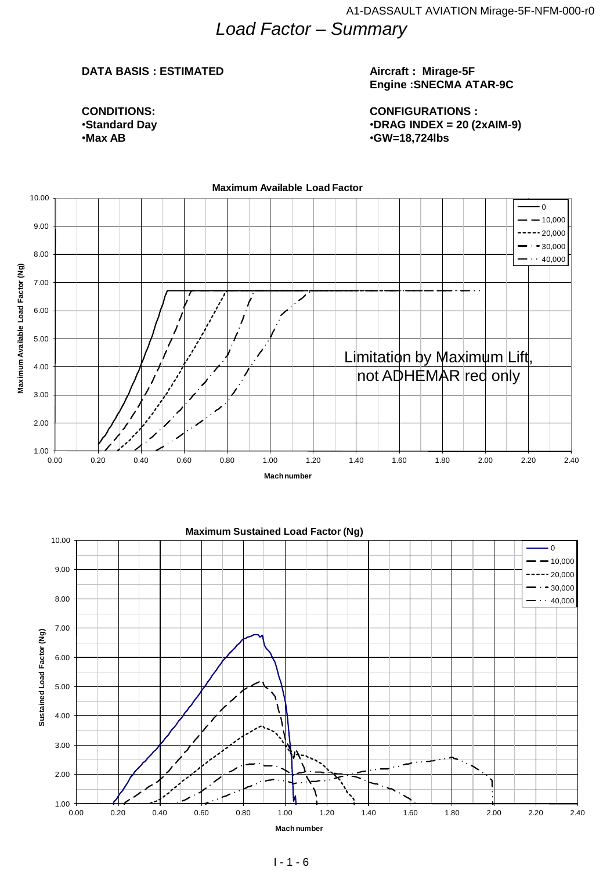## *Load Factor – Summary*

#### **DATA BASIS : ESTIMATED**

**CONDITIONS:** •**Standard Day** •**Max AB**

#### **Aircraft : Mirage-5F Engine :SNECMA ATAR-9C**

**CONFIGURATIONS :** •**DRAG INDEX = 20 (2xAIM-9)** •**GW=18,724lbs**

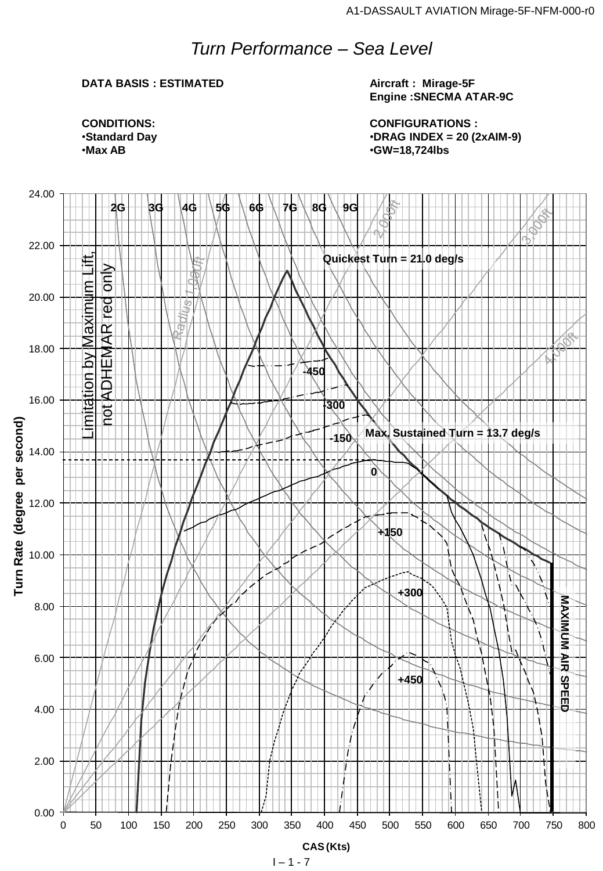## *Turn Performance – Sea Level*

## **DATA BASIS : ESTIMATED**

**Aircraft : Mirage-5F Engine :SNECMA ATAR-9C**

**CONFIGURATIONS :** •**DRAG INDEX = 20 (2xAIM-9)** •**GW=18,724lbs**

**CONDITIONS:** •**Standard Day** •**Max AB**

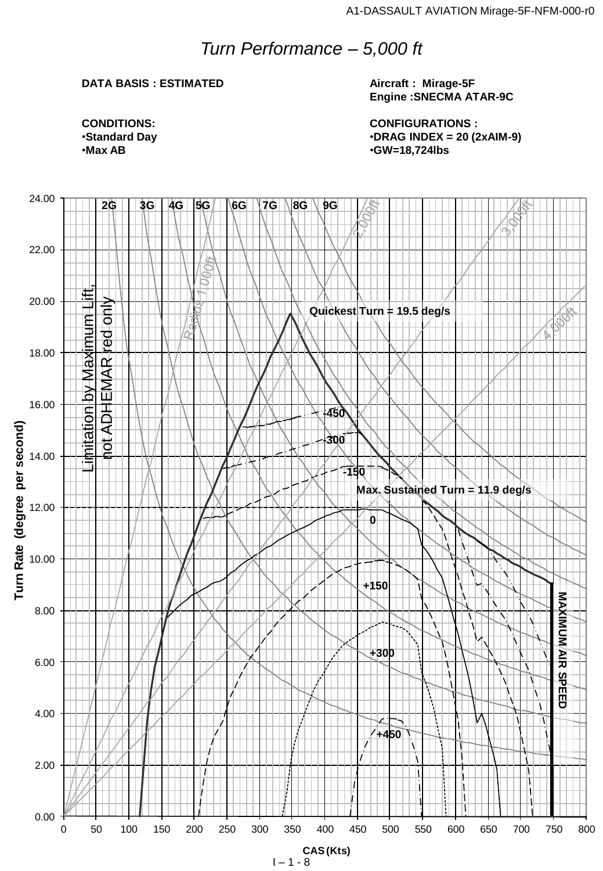## *Turn Performance – 5,000 ft*

### **DATA BASIS : ESTIMATED**

**Aircraft : Mirage-5F Engine :SNECMA ATAR-9C**

**CONFIGURATIONS :** •**DRAG INDEX = 20 (2xAIM-9)** •**GW=18,724lbs**

**CONDITIONS:** •**Standard Day** •**Max AB**

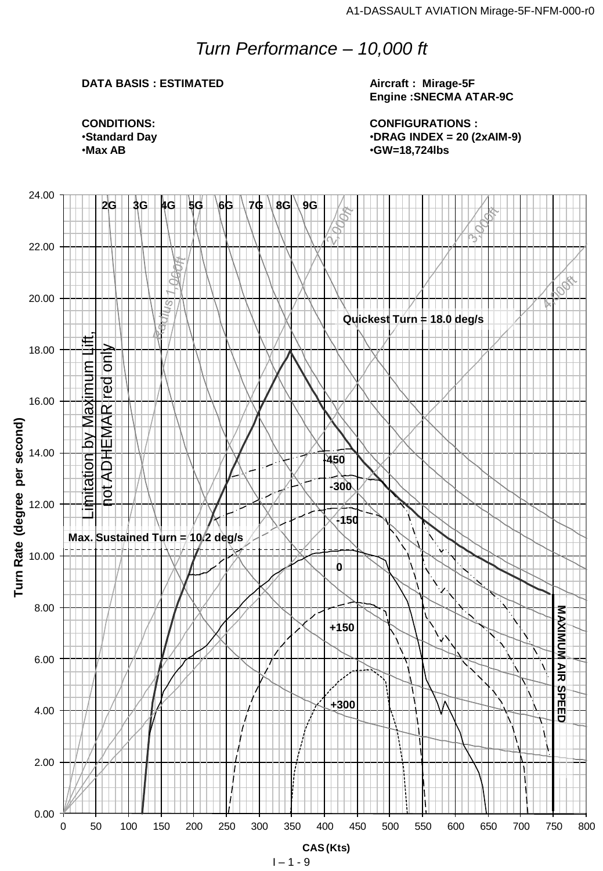## *Turn Performance – 10,000 ft*

## **DATA BASIS : ESTIMATED**

**Aircraft : Mirage-5F Engine :SNECMA ATAR-9C**

**CONFIGURATIONS :** •**DRAG INDEX = 20 (2xAIM-9)** •**GW=18,724lbs**

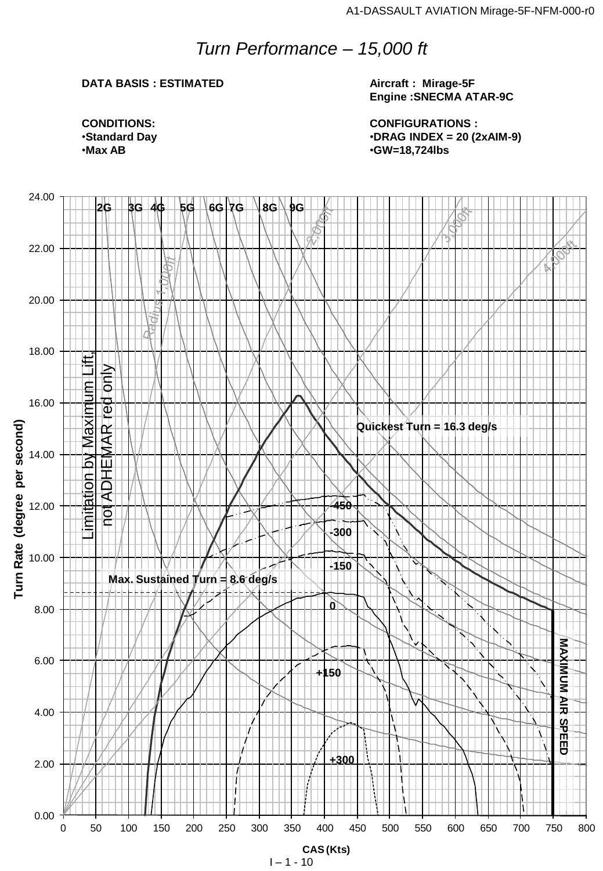## *Turn Performance – 15,000 ft*

## **DATA BASIS : ESTIMATED**

**Aircraft : Mirage-5F Engine :SNECMA ATAR-9C**

**CONFIGURATIONS :** •**DRAG INDEX = 20 (2xAIM-9)** •**GW=18,724lbs**

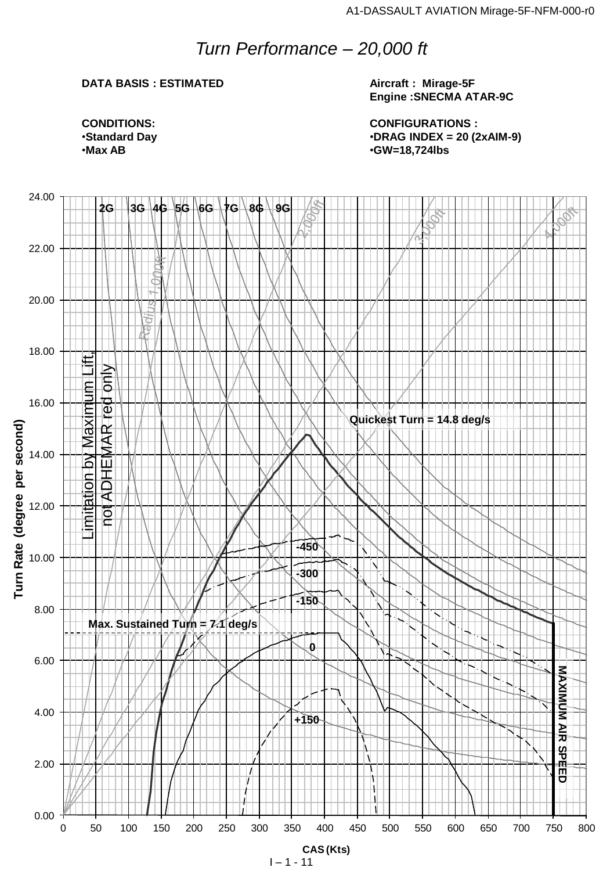## *Turn Performance – 20,000 ft*

## **DATA BASIS : ESTIMATED**

**Aircraft : Mirage-5F Engine :SNECMA ATAR-9C**

**CONFIGURATIONS :** •**DRAG INDEX = 20 (2xAIM-9)** •**GW=18,724lbs**

**CONDITIONS:** •**Standard Day** •**Max AB**

![](_page_10_Figure_6.jpeg)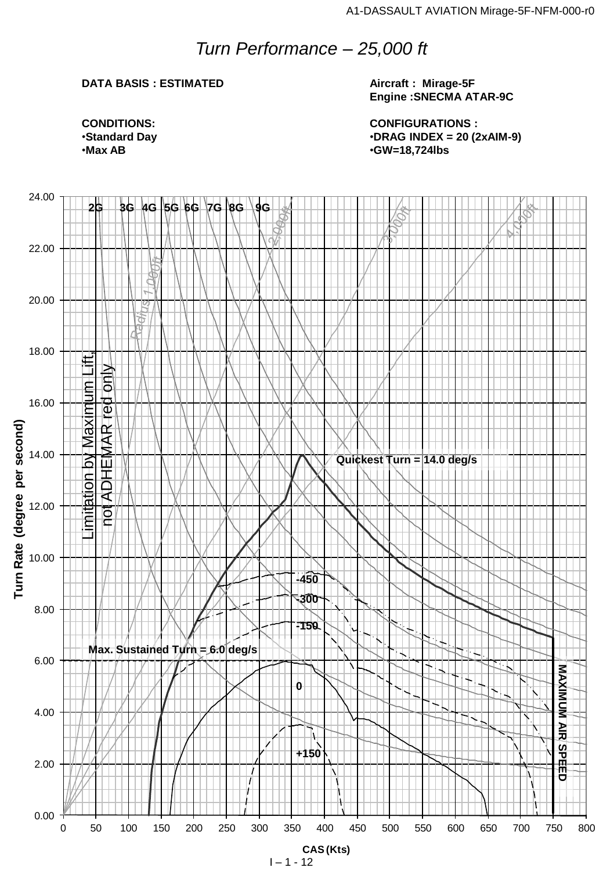## *Turn Performance – 25,000 ft*

## **DATA BASIS : ESTIMATED**

**Aircraft : Mirage-5F Engine :SNECMA ATAR-9C**

**CONFIGURATIONS :** •**DRAG INDEX = 20 (2xAIM-9)** •**GW=18,724lbs**

![](_page_11_Figure_6.jpeg)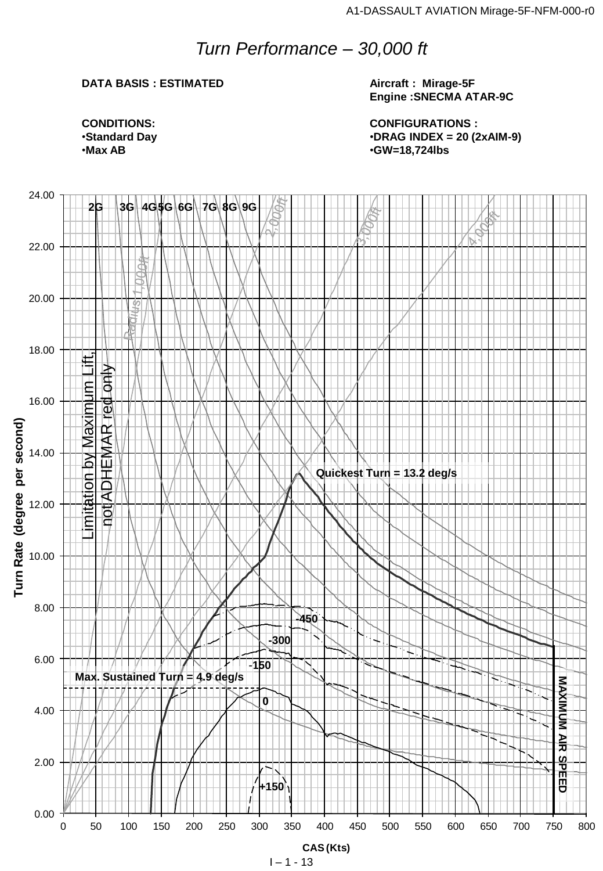## *Turn Performance – 30,000 ft*

## **DATA BASIS : ESTIMATED**

**Aircraft : Mirage-5F Engine :SNECMA ATAR-9C**

**CONFIGURATIONS :** •**DRAG INDEX = 20 (2xAIM-9)** •**GW=18,724lbs**

**CONDITIONS:** •**Standard Day** •**Max AB**

![](_page_12_Figure_6.jpeg)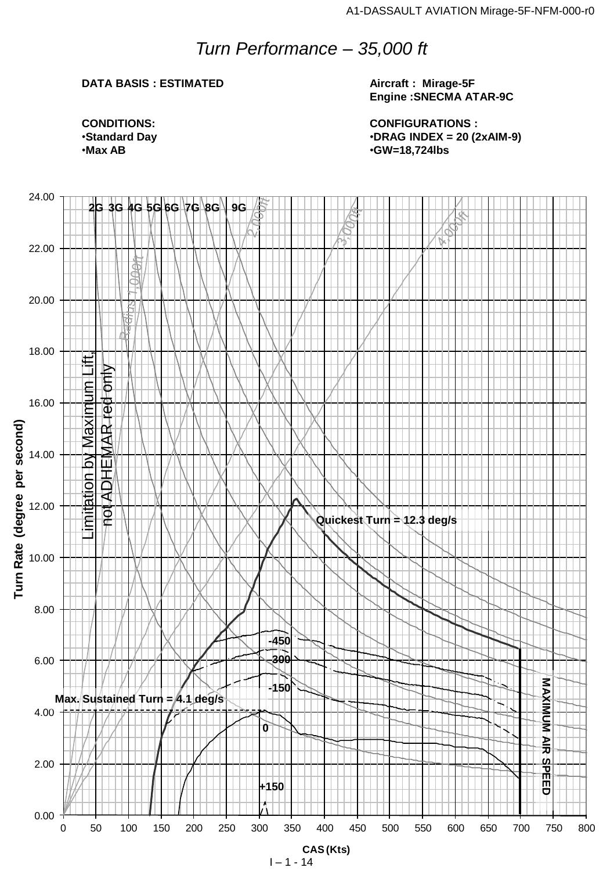## *Turn Performance – 35,000 ft*

## **DATA BASIS : ESTIMATED**

**Aircraft : Mirage-5F Engine :SNECMA ATAR-9C**

**CONFIGURATIONS :** •**DRAG INDEX = 20 (2xAIM-9)** •**GW=18,724lbs**

![](_page_13_Figure_6.jpeg)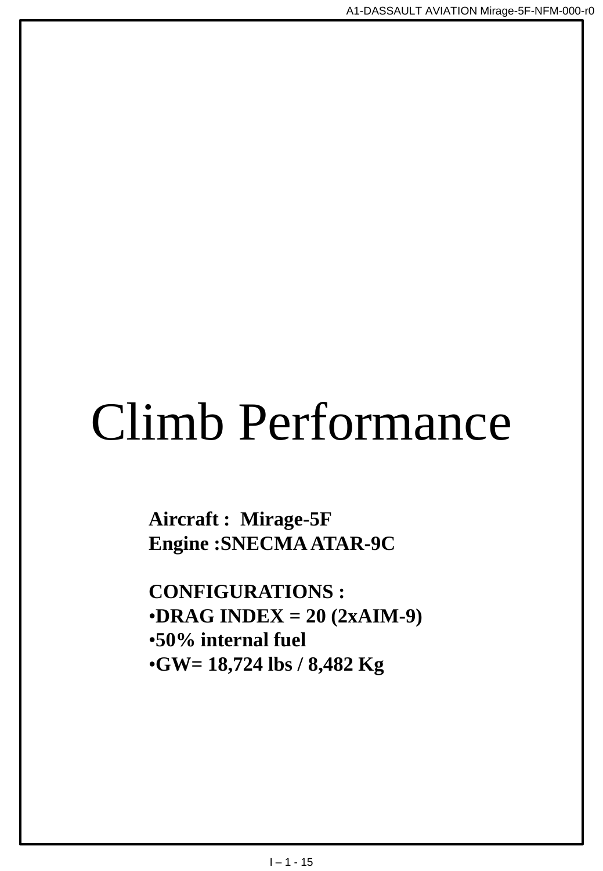# Climb Performance

**Aircraft : Mirage-5F Engine :SNECMA ATAR-9C**

**CONFIGURATIONS :** •**DRAG INDEX = 20 (2xAIM-9)** •**50% internal fuel** •**GW= 18,724 lbs / 8,482 Kg**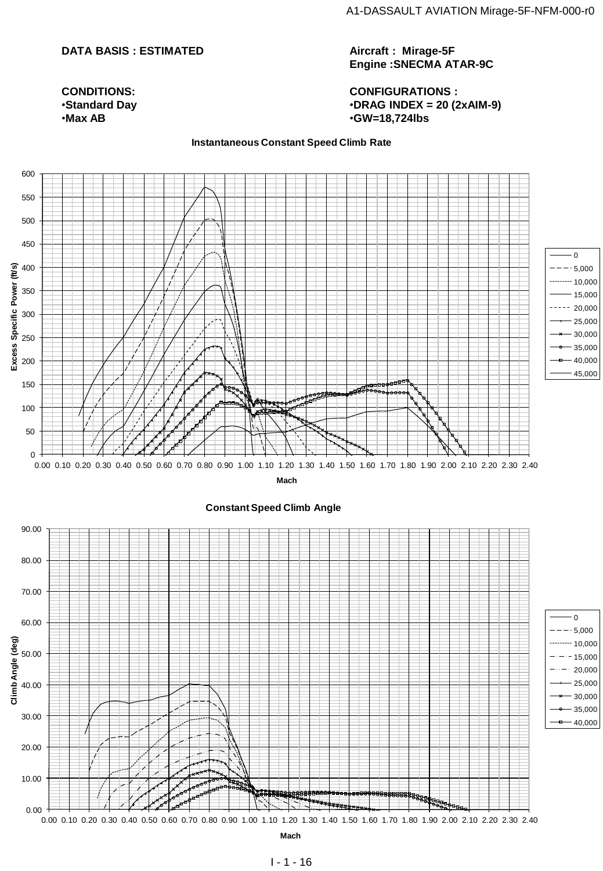## **DATA BASIS : ESTIMATED**

#### **CONDITIONS:** •**Standard Day** •**Max AB**

**Aircraft : Mirage-5F Engine :SNECMA ATAR-9C**

**CONFIGURATIONS :** •**DRAG INDEX = 20 (2xAIM-9)** •**GW=18,724lbs**

#### **Instantaneous Constant Speed Climb Rate**

![](_page_15_Figure_6.jpeg)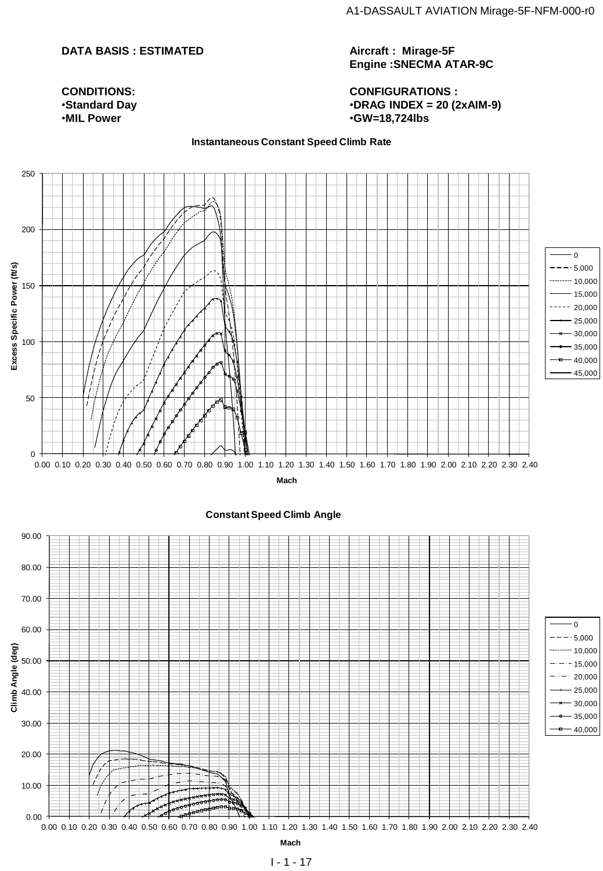## **DATA BASIS : ESTIMATED**

**CONDITIONS:** •**Standard Day** •**MIL Power**

**Aircraft : Mirage-5F Engine :SNECMA ATAR-9C**

**CONFIGURATIONS :** •**DRAG INDEX = 20 (2xAIM-9)** •**GW=18,724lbs**

**Instantaneous Constant Speed Climb Rate**

![](_page_16_Figure_5.jpeg)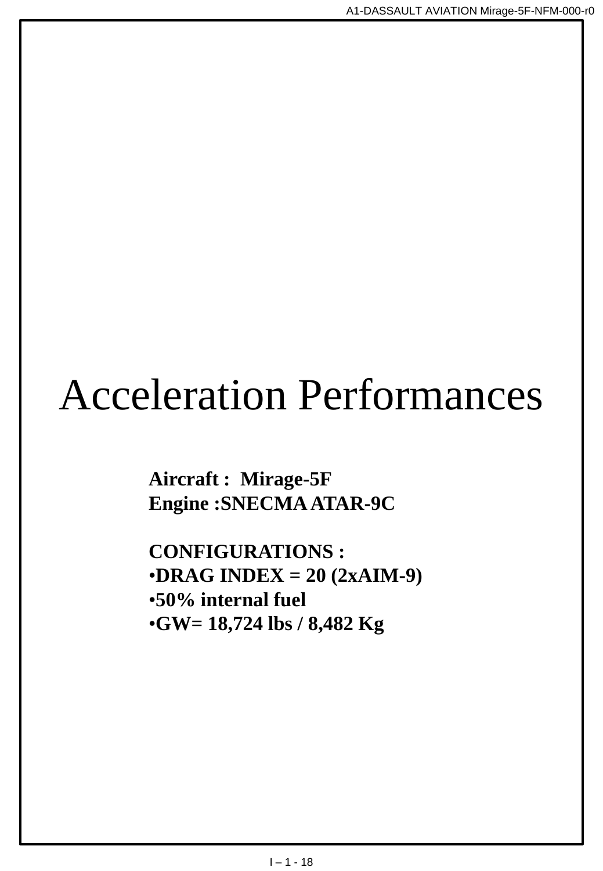## Acceleration Performances

**Aircraft : Mirage-5F Engine :SNECMA ATAR-9C**

**CONFIGURATIONS :** •**DRAG INDEX = 20 (2xAIM-9)** •**50% internal fuel** •**GW= 18,724 lbs / 8,482 Kg**